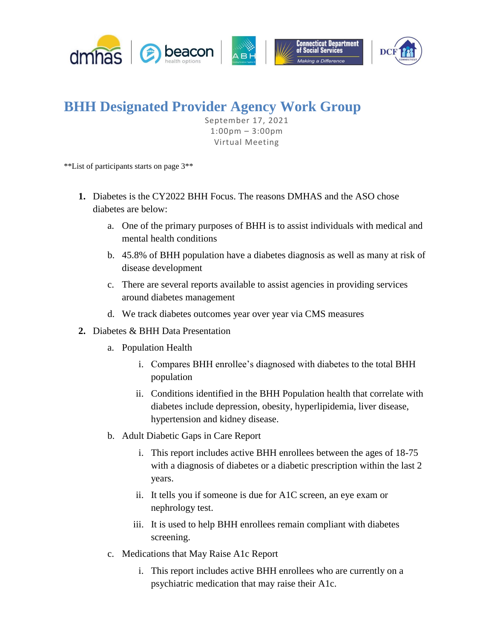

## **BHH Designated Provider Agency Work Group**

September 17, 2021 1:00pm – 3:00pm Virtual Meeting

\*\*List of participants starts on page 3\*\*

- **1.** Diabetes is the CY2022 BHH Focus. The reasons DMHAS and the ASO chose diabetes are below:
	- a. One of the primary purposes of BHH is to assist individuals with medical and mental health conditions
	- b. 45.8% of BHH population have a diabetes diagnosis as well as many at risk of disease development
	- c. There are several reports available to assist agencies in providing services around diabetes management
	- d. We track diabetes outcomes year over year via CMS measures
- **2.** Diabetes & BHH Data Presentation
	- a. Population Health
		- i. Compares BHH enrollee's diagnosed with diabetes to the total BHH population
		- ii. Conditions identified in the BHH Population health that correlate with diabetes include depression, obesity, hyperlipidemia, liver disease, hypertension and kidney disease.
	- b. Adult Diabetic Gaps in Care Report
		- i. This report includes active BHH enrollees between the ages of 18-75 with a diagnosis of diabetes or a diabetic prescription within the last 2 years.
		- ii. It tells you if someone is due for A1C screen, an eye exam or nephrology test.
		- iii. It is used to help BHH enrollees remain compliant with diabetes screening.
	- c. Medications that May Raise A1c Report
		- i. This report includes active BHH enrollees who are currently on a psychiatric medication that may raise their A1c.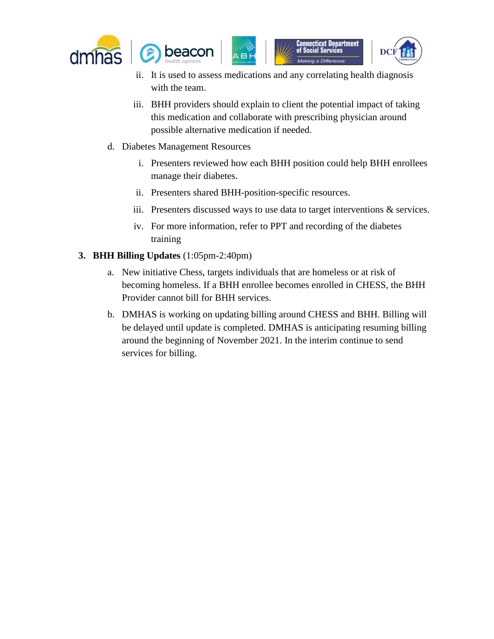





- ii. It is used to assess medications and any correlating health diagnosis with the team.
- iii. BHH providers should explain to client the potential impact of taking this medication and collaborate with prescribing physician around possible alternative medication if needed.
- d. Diabetes Management Resources
	- i. Presenters reviewed how each BHH position could help BHH enrollees manage their diabetes.
	- ii. Presenters shared BHH-position-specific resources.
	- iii. Presenters discussed ways to use data to target interventions & services.
	- iv. For more information, refer to PPT and recording of the diabetes training
- **3. BHH Billing Updates** (1:05pm-2:40pm)
	- a. New initiative Chess, targets individuals that are homeless or at risk of becoming homeless. If a BHH enrollee becomes enrolled in CHESS, the BHH Provider cannot bill for BHH services.
	- b. DMHAS is working on updating billing around CHESS and BHH. Billing will be delayed until update is completed. DMHAS is anticipating resuming billing around the beginning of November 2021. In the interim continue to send services for billing.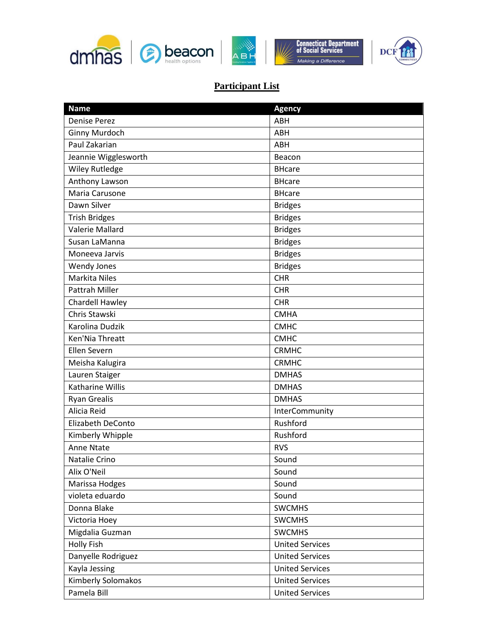





## **Participant List**

| <b>Name</b>           | <b>Agency</b>          |
|-----------------------|------------------------|
| <b>Denise Perez</b>   | ABH                    |
| Ginny Murdoch         | ABH                    |
| Paul Zakarian         | ABH                    |
| Jeannie Wigglesworth  | Beacon                 |
| <b>Wiley Rutledge</b> | <b>BHcare</b>          |
| Anthony Lawson        | <b>BHcare</b>          |
| Maria Carusone        | <b>BHcare</b>          |
| Dawn Silver           | <b>Bridges</b>         |
| <b>Trish Bridges</b>  | <b>Bridges</b>         |
| Valerie Mallard       | <b>Bridges</b>         |
| Susan LaManna         | <b>Bridges</b>         |
| Moneeva Jarvis        | <b>Bridges</b>         |
| <b>Wendy Jones</b>    | <b>Bridges</b>         |
| <b>Markita Niles</b>  | <b>CHR</b>             |
| <b>Pattrah Miller</b> | <b>CHR</b>             |
| Chardell Hawley       | <b>CHR</b>             |
| Chris Stawski         | <b>CMHA</b>            |
| Karolina Dudzik       | <b>CMHC</b>            |
| Ken'Nia Threatt       | <b>CMHC</b>            |
| Ellen Severn          | <b>CRMHC</b>           |
| Meisha Kalugira       | <b>CRMHC</b>           |
| Lauren Staiger        | <b>DMHAS</b>           |
| Katharine Willis      | <b>DMHAS</b>           |
| <b>Ryan Grealis</b>   | <b>DMHAS</b>           |
| Alicia Reid           | InterCommunity         |
| Elizabeth DeConto     | Rushford               |
| Kimberly Whipple      | Rushford               |
| Anne Ntate            | <b>RVS</b>             |
| Natalie Crino         | Sound                  |
| Alix O'Neil           | Sound                  |
| Marissa Hodges        | Sound                  |
| violeta eduardo       | Sound                  |
| Donna Blake           | <b>SWCMHS</b>          |
| Victoria Hoey         | <b>SWCMHS</b>          |
| Migdalia Guzman       | <b>SWCMHS</b>          |
| <b>Holly Fish</b>     | <b>United Services</b> |
| Danyelle Rodriguez    | <b>United Services</b> |
| Kayla Jessing         | <b>United Services</b> |
| Kimberly Solomakos    | <b>United Services</b> |
| Pamela Bill           | <b>United Services</b> |